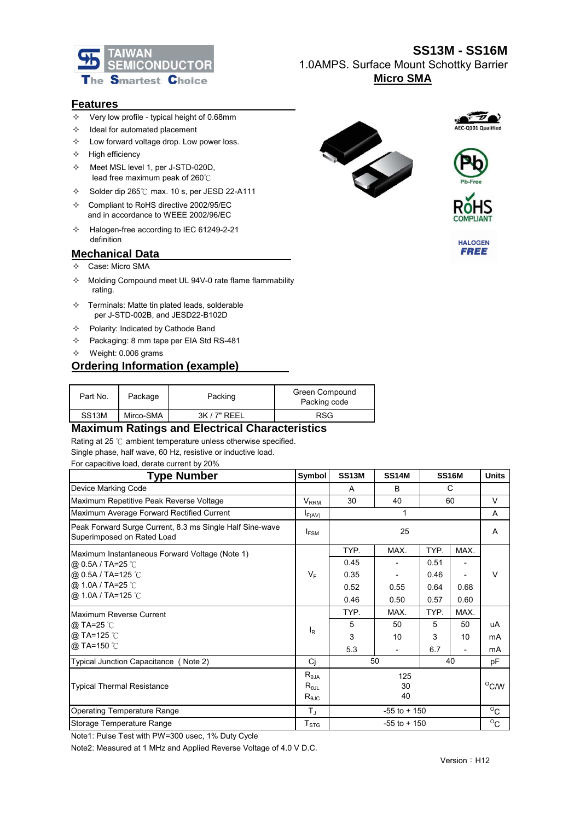

## **SS13M - SS16M** 1.0AMPS. Surface Mount Schottky Barrier **Micro SMA**

#### **Features**

- $\div$  Very low profile typical height of 0.68mm
- $\Diamond$  Ideal for automated placement
- $\Diamond$  Low forward voltage drop. Low power loss.
- $\Diamond$  High efficiency
- $\diamond$  Meet MSL level 1, per J-STD-020D, lead free maximum peak of 260℃
- $\div$  Solder dip 265°C max. 10 s, per JESD 22-A111
- $\div$  Compliant to RoHS directive 2002/95/EC and in accordance to WEEE 2002/96/EC
- $\div$  Halogen-free according to IEC 61249-2-21 definition

#### **Mechanical Data**

- Case: Micro SMA
- $\Diamond$  Molding Compound meet UL 94V-0 rate flame flammability rating.
- $\Diamond$  Terminals: Matte tin plated leads, solderable per J-STD-002B, and JESD22-B102D
- $\Diamond$  Polarity: Indicated by Cathode Band
- $\div$  Packaging: 8 mm tape per EIA Std RS-481
- $\diamond$  Weight: 0.006 grams

### **Ordering Information (example)**

| Part No.           | Package   | Packing      | Green Compound<br>Packing code |
|--------------------|-----------|--------------|--------------------------------|
| SS <sub>13</sub> M | Mirco-SMA | $3K/7"$ REEL | RSG                            |

## **Maximum Ratings and Electrical Characteristics**

Rating at 25 ℃ ambient temperature unless otherwise specified.

#### Single phase, half wave, 60 Hz, resistive or inductive load. For capacitive load, derate current by 20%

| <b>Type Number</b>                                                                     | <b>Symbol</b>                                                                     | <b>SS13M</b>    | <b>SS14M</b>             |                | <b>SS16M</b> | <b>Units</b> |
|----------------------------------------------------------------------------------------|-----------------------------------------------------------------------------------|-----------------|--------------------------|----------------|--------------|--------------|
| Device Marking Code                                                                    |                                                                                   | A               | С<br>B                   |                |              |              |
| Maximum Repetitive Peak Reverse Voltage                                                |                                                                                   | 60<br>30<br>40  |                          |                |              | V            |
| Maximum Average Forward Rectified Current<br>$I_{F(AV)}$                               |                                                                                   |                 | A                        |                |              |              |
| Peak Forward Surge Current, 8.3 ms Single Half Sine-wave<br>Superimposed on Rated Load | $I_{FSM}$                                                                         | 25              |                          |                |              | Α            |
| Maximum Instantaneous Forward Voltage (Note 1)                                         |                                                                                   | TYP.            | MAX.                     | TYP.           | MAX.         |              |
| @ 0.5A / TA=25 °C                                                                      | $V_F$                                                                             | 0.45            |                          | 0.51           |              | V            |
| @ 0.5A / TA=125 °C                                                                     |                                                                                   | 0.35            |                          | 0.46           |              |              |
| @ 1.0A / TA=25 °C                                                                      |                                                                                   | 0.52            | 0.55                     | 0.64           | 0.68         |              |
| @ 1.0A / TA=125 °C                                                                     |                                                                                   | 0.46            | 0.50                     | 0.57           | 0.60         |              |
| Maximum Reverse Current                                                                |                                                                                   | TYP.            | MAX.                     | TYP.           | MAX.         |              |
| <b>@</b> TA=25 ℃                                                                       | $I_R$                                                                             | 5               | 50                       | 5              | 50           | uA           |
| @ TA=125 °C<br>@ TA=150 °C                                                             |                                                                                   | 3               | 10                       | 3              | 10           | mA           |
|                                                                                        |                                                                                   | 5.3             | $\overline{\phantom{a}}$ | 6.7            |              | mA           |
| Typical Junction Capacitance (Note 2)                                                  | Cj                                                                                | 50<br>40        |                          | pF             |              |              |
| <b>Typical Thermal Resistance</b>                                                      | $\mathsf{R}_{\theta \mathsf{JA}}$<br>$R_{\theta JL}$<br>$\mathsf{R}_{\text{0JC}}$ | 125<br>30<br>40 |                          | $^{\circ}$ C/W |              |              |
| <b>Operating Temperature Range</b>                                                     | $T_{\rm J}$                                                                       |                 | $-55$ to $+150$          |                |              | $\rm ^{O}C$  |
| Storage Temperature Range                                                              | $T_{STG}$                                                                         |                 | $-55$ to $+150$          |                |              | $\rm ^{O}C$  |

Note1: Pulse Test with PW=300 usec, 1% Duty Cycle

Note2: Measured at 1 MHz and Applied Reverse Voltage of 4.0 V D.C.









**HALOGEN FREE**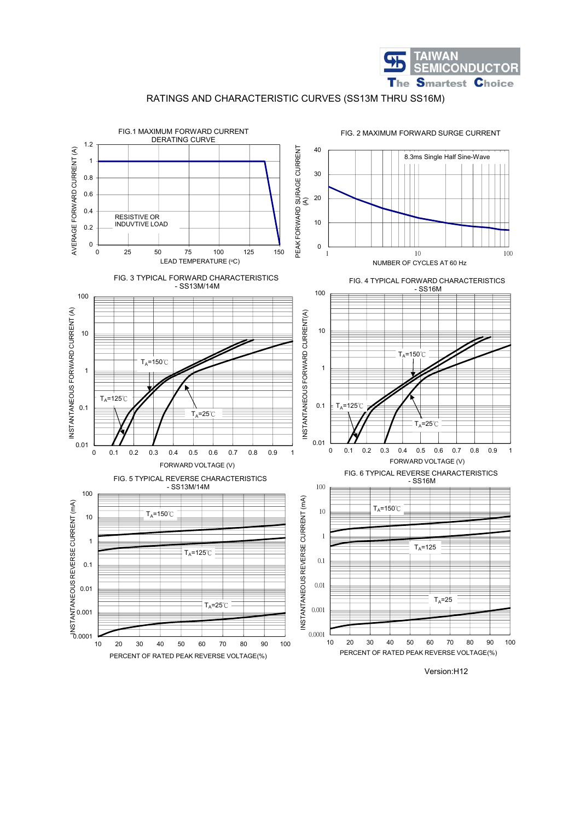

RATINGS AND CHARACTERISTIC CURVES (SS13M THRU SS16M)

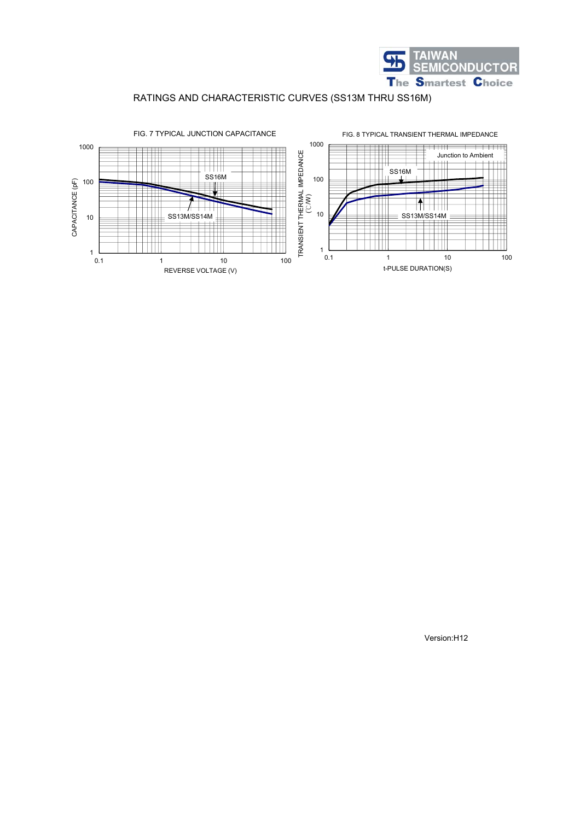

## RATINGS AND CHARACTERISTIC CURVES (SS13M THRU SS16M)



Version:H12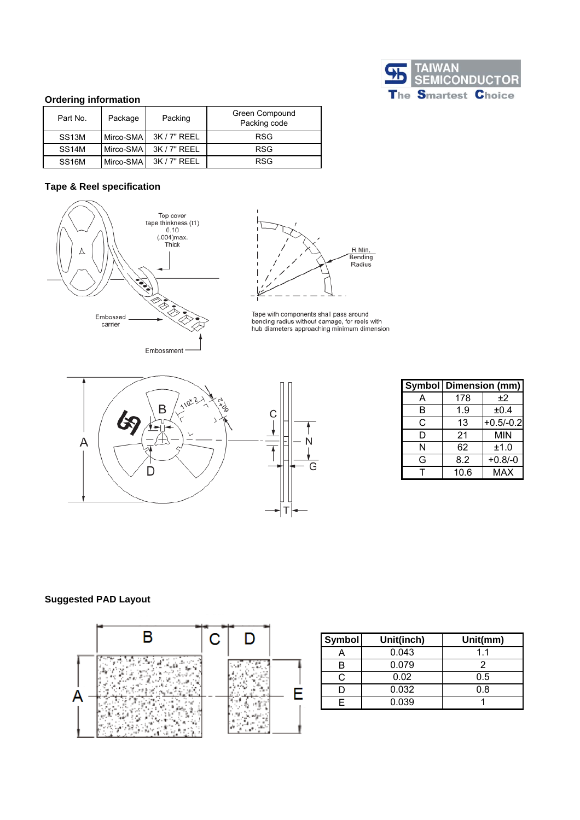

### **Ordering information**

| Part No.           | Package   | Packing      | <b>Green Compound</b><br>Packing code |
|--------------------|-----------|--------------|---------------------------------------|
| SS <sub>13</sub> M | Mirco-SMA | 3K / 7" REEL | <b>RSG</b>                            |
| SS <sub>14</sub> M | Mirco-SMA | 3K / 7" REEL | <b>RSG</b>                            |
| SS <sub>16</sub> M | Mirco-SMA | $3K/7"$ RFFL | <b>RSG</b>                            |

## **Tape & Reel specification**





Tape with components shall pass around<br>bending radius without damage, for reels with<br>hub diameters approaching minimum dimension



|   | <b>Symbol   Dimension (mm)</b> |             |  |  |
|---|--------------------------------|-------------|--|--|
| A | 178                            | ±2          |  |  |
| B | 1.9                            | ±0.4        |  |  |
| C | 13                             | $+0.5/-0.2$ |  |  |
| D | 21                             | MIN         |  |  |
| N | 62                             | ±1.0        |  |  |
| G | 8.2                            | $+0.8/-0$   |  |  |
|   | 10.6                           | <b>MAX</b>  |  |  |

### **Suggested PAD Layout**



| <b>Symbol</b> | Unit(inch) | Unit(mm) |  |  |
|---------------|------------|----------|--|--|
|               | 0.043      | 11       |  |  |
|               | 0.079      |          |  |  |
|               | 0.02       | 0.5      |  |  |
|               | 0.032      | 0.8      |  |  |
|               | 0.039      |          |  |  |